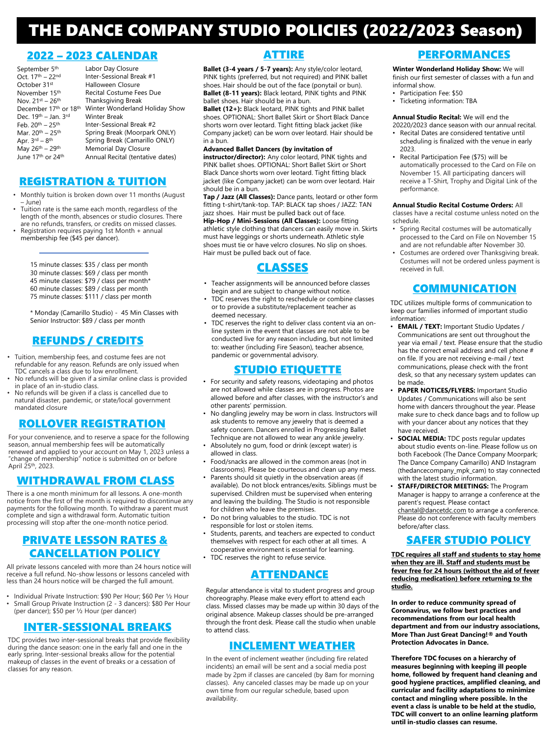# THE DANCE COMPANY STUDIO POLICIES (2022/2023 Season)

#### 2022 – 2023 CALENDAR

| September 5 <sup>th</sup>                 | Labor Day Closure                |
|-------------------------------------------|----------------------------------|
| Oct. 17 <sup>th</sup> - 22 <sup>nd</sup>  | Inter-Sessional Break #1         |
| October 31st                              | Halloween Closure                |
| November 15 <sup>th</sup>                 | Recital Costume Fees Due         |
| Nov. 21st – 26th                          | Thanksgiving Break               |
| December 17th or 18th                     | Winter Wonderland Holiday Show   |
| Dec. 19th – Jan. 3rd                      | <b>Winter Break</b>              |
| Feb. 20 <sup>th</sup> – 25 <sup>th</sup>  | Inter-Sessional Break #2         |
| Mar. 20th - 25th                          | Spring Break (Moorpark ONLY)     |
| Apr. $3rd - 8th$                          | Spring Break (Camarillo ONLY)    |
| May 26th - 29th                           | Memorial Day Closure             |
| June 17 <sup>th</sup> or 24 <sup>th</sup> | Annual Recital (tentative dates) |
|                                           |                                  |

#### REGISTRATION & TUITION

- Monthly tuition is broken down over 11 months (August – June)
- Tuition rate is the same each month, regardless of the length of the month, absences or studio closures. There are no refunds, transfers, or credits on missed classes. • Registration requires paying 1st Month + annual
- membership fee (\$45 per dancer).

15 minute classes: \$35 / class per month 30 minute classes: \$69 / class per month 45 minute classes: \$79 / class per month\* 60 minute classes: \$89 / class per month 75 minute classes: \$111 / class per month

\* Monday (Camarillo Studio) - 45 Min Classes with Senior Instructor: \$89 / class per month

### REFUNDS / CREDITS

- Tuition, membership fees, and costume fees are not refundable for any reason. Refunds are only issued when TDC cancels a class due to low enrollment.
- No refunds will be given if a similar online class is provided in place of an in-studio class.
- No refunds will be given if a class is cancelled due to natural disaster, pandemic, or state/local government mandated closure

#### ROLLOVER REGISTRATION

For your convenience, and to reserve a space for the following season, annual membership fees will be automatically renewed and applied to your account on May 1, 2023 unless a "change of membership" notice is submitted on or before April 25th, 2023.

#### WITHDRAWAL FROM CLASS

There is a one month minimum for all lessons. A one-month notice from the first of the month is required to discontinue any payments for the following month. To withdraw a parent must complete and sign a withdrawal form. Automatic tuition processing will stop after the one-month notice period.

#### PRIVATE LESSON RATES & CANCELLATION POLICY

All private lessons canceled with more than 24 hours notice will receive a full refund. No-show lessons or lessons canceled with less than 24 hours notice will be charged the full amount.

• Individual Private Instruction: \$90 Per Hour; \$60 Per ½ Hour • Small Group Private Instruction (2 - 3 dancers): \$80 Per Hour (per dancer); \$50 per ½ Hour (per dancer)

#### INTER-SESSIONAL BREAKS

TDC provides two inter-sessional breaks that provide flexibility during the dance season: one in the early fall and one in the early spring. Inter-sessional breaks allow for the potential makeup of classes in the event of breaks or a cessation of classes for any reason.

## ATTIRE

**Ballet (3-4 years / 5-7 years):** Any style/color leotard, PINK tights (preferred, but not required) and PINK ballet shoes. Hair should be out of the face (ponytail or bun). **Ballet (8-11 years):** Black leotard, PINK tights and PINK ballet shoes. Hair should be in a bun.

**Ballet (12+):** Black leotard, PINK tights and PINK ballet shoes. OPTIONAL: Short Ballet Skirt or Short Black Dance shorts worn over leotard. Tight fitting black jacket (like Company jacket) can be worn over leotard. Hair should be in a bun.

#### **Advanced Ballet Dancers (by invitation of**

**instructor/director):** Any color leotard, PINK tights and PINK ballet shoes. OPTIONAL: Short Ballet Skirt or Short Black Dance shorts worn over leotard. Tight fitting black jacket (like Company jacket) can be worn over leotard. Hair should be in a bun.

**Tap / Jazz (All Classes):** Dance pants, leotard or other form fitting t-shirt/tank-top. TAP: BLACK tap shoes / JAZZ: TAN jazz shoes. Hair must be pulled back out of face.

**Hip-Hop / Mini-Sessions (All Classes):** Loose fitting athletic style clothing that dancers can easily move in. Skirts must have leggings or shorts underneath. Athletic style shoes must tie or have velcro closures. No slip on shoes. Hair must be pulled back out of face.

### CLASSES

- Teacher assignments will be announced before classes begin and are subject to change without notice.
- TDC reserves the right to reschedule or combine classes or to provide a substitute/replacement teacher as deemed necessary.
- TDC reserves the right to deliver class content via an online system in the event that classes are not able to be conducted live for any reason including, but not limited to: weather (including Fire Season), teacher absence, pandemic or governmental advisory.

#### STUDIO ETIQUETTE

- For security and safety reasons, videotaping and photos are not allowed while classes are in progress. Photos are allowed before and after classes, with the instructor's and other parents' permission.
- No dangling jewelry may be worn in class. Instructors will ask students to remove any jewelry that is deemed a safety concern. Dancers enrolled in Progressing Ballet Technique are not allowed to wear any ankle jewelry.
- Absolutely no gum, food or drink (except water) is allowed in class.
- Food/snacks are allowed in the common areas (not in classrooms). Please be courteous and clean up any mess.
- Parents should sit quietly in the observation areas (if available). Do not block entrances/exits. Siblings must be
- supervised. Children must be supervised when entering and leaving the building. The Studio is not responsible for children who leave the premises.
- Do not bring valuables to the studio. TDC is not responsible for lost or stolen items.
- Students, parents, and teachers are expected to conduct themselves with respect for each other at all times. A cooperative environment is essential for learning.
- TDC reserves the right to refuse service.

#### ATTENDANCE

Regular attendance is vital to student progress and group choreography. Please make every effort to attend each class. Missed classes may be made up within 30 days of the original absence. Makeup classes should be pre-arranged through the front desk. Please call the studio when unable to attend class.

#### INCLEMENT WEATHER

In the event of inclement weather (including fire related incidents) an email will be sent and a social media post made by 2pm if classes are canceled (by 8am for morning classes). Any canceled classes may be made up on your own time from our regular schedule, based upon availability.

### PERFORMANCES

**Winter Wonderland Holiday Show:** We will finish our first semester of classes with a fun and informal show.

- Participation Fee: \$50
- Ticketing information: TBA

#### **Annual Studio Recital:** We will end the

- 20220/2023 dance season with our annual recital. • Recital Dates are considered tentative until scheduling is finalized with the venue in early
- 2023. • Recital Participation Fee (\$75) will be automatically processed to the Card on File on November 15. All participating dancers will receive a T-Shirt, Trophy and Digital Link of the performance.

#### **Annual Studio Recital Costume Orders:** All

classes have a recital costume unless noted on the schedule.

- Spring Recital costumes will be automatically processed to the Card on File on November 15 and are not refundable after November 30.
- Costumes are ordered over Thanksgiving break. Costumes will not be ordered unless payment is received in full.

### COMMUNICATION

TDC utilizes multiple forms of communication to keep our families informed of important studio information:

- **EMAIL / TEXT:** Important Studio Updates / Communications are sent out throughout the year via email / text. Please ensure that the studio has the correct email address and cell phone # on file. If you are not receiving e-mail / text communications, please check with the front desk, so that any necessary system updates can be made.
- **PAPER NOTICES/FLYERS:** Important Studio Updates / Communications will also be sent home with dancers throughout the year. Please make sure to check dance bags and to follow up with your dancer about any notices that they have received.
- **SOCIAL MEDIA:** TDC posts regular updates about studio events on-line. Please follow us on both Facebook (The Dance Company Moorpark; The Dance Company Camarillo) AND Instagram (thedancecompany\_mpk\_cam) to stay connected with the latest studio information.
- **STAFF/DIRECTOR MEETINGS:** The Program Manager is happy to arrange a conference at the parent's request. Please contact [chantal@dancetdc.com](mailto:chantal@dancetdc.com) to arrange a conference. Please do not conference with faculty members before/after class.

#### SAFER STUDIO POLICY

**TDC requires all staff and students to stay home when they are ill. Staff and students must be fever free for 24 hours (without the aid of fever reducing medication) before returning to the studio.**

**In order to reduce community spread of Coronavirus, we follow best practices and recommendations from our local health department and from our industry associations, More Than Just Great Dancing!® and Youth Protection Advocates in Dance.**

**Therefore TDC focuses on a hierarchy of measures beginning with keeping ill people home, followed by frequent hand cleaning and good hygiene practices, amplified cleaning, and curricular and facility adaptations to minimize contact and mingling where possible. In the event a class is unable to be held at the studio, TDC will convert to an online learning platform until in-studio classes can resume.**